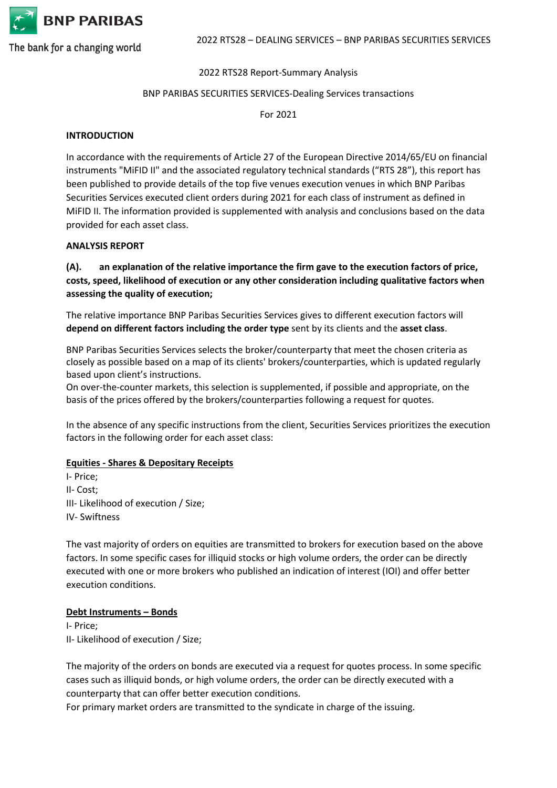

## 2022 RTS28 Report-Summary Analysis

## BNP PARIBAS SECURITIES SERVICES-Dealing Services transactions

For 2021

## **INTRODUCTION**

In accordance with the requirements of Article 27 of the European Directive 2014/65/EU on financial instruments "MiFID II" and the associated regulatory technical standards ("RTS 28"), this report has been published to provide details of the top five venues execution venues in which BNP Paribas Securities Services executed client orders during 2021 for each class of instrument as defined in MiFID II. The information provided is supplemented with analysis and conclusions based on the data provided for each asset class.

#### **ANALYSIS REPORT**

**(A). an explanation of the relative importance the firm gave to the execution factors of price, costs, speed, likelihood of execution or any other consideration including qualitative factors when assessing the quality of execution;**

The relative importance BNP Paribas Securities Services gives to different execution factors will **depend on different factors including the order type** sent by its clients and the **asset class**.

BNP Paribas Securities Services selects the broker/counterparty that meet the chosen criteria as closely as possible based on a map of its clients' brokers/counterparties, which is updated regularly based upon client's instructions.

On over-the-counter markets, this selection is supplemented, if possible and appropriate, on the basis of the prices offered by the brokers/counterparties following a request for quotes.

In the absence of any specific instructions from the client, Securities Services prioritizes the execution factors in the following order for each asset class:

## **Equities - Shares & Depositary Receipts**

I- Price; II- Cost; III- Likelihood of execution / Size; IV- Swiftness

The vast majority of orders on equities are transmitted to brokers for execution based on the above factors. In some specific cases for illiquid stocks or high volume orders, the order can be directly executed with one or more brokers who published an indication of interest (IOI) and offer better execution conditions.

## **Debt Instruments – Bonds**

I- Price; II- Likelihood of execution / Size;

The majority of the orders on bonds are executed via a request for quotes process. In some specific cases such as illiquid bonds, or high volume orders, the order can be directly executed with a counterparty that can offer better execution conditions.

For primary market orders are transmitted to the syndicate in charge of the issuing.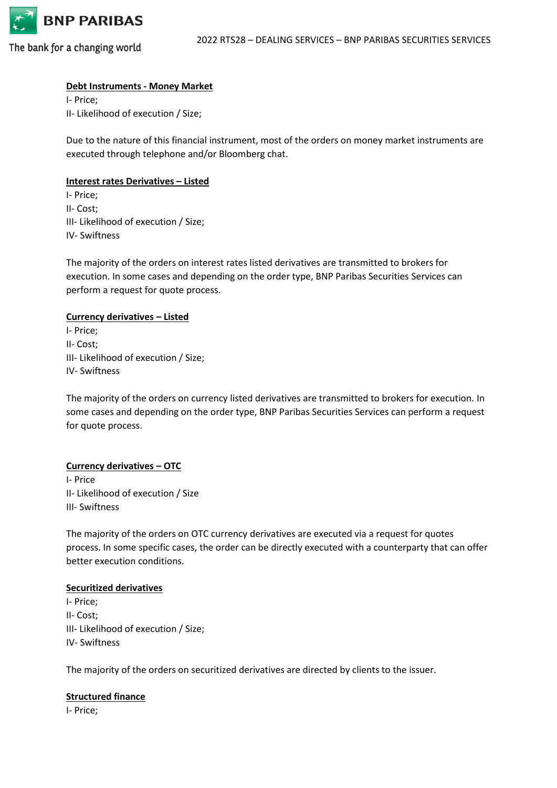

## **Debt Instruments - Money Market**

I- Price; II- Likelihood of execution / Size;

Due to the nature of this financial instrument, most of the orders on money market instruments are executed through telephone and/or Bloomberg chat.

## **Interest rates Derivatives – Listed**

I- Price; II- Cost; III- Likelihood of execution / Size; IV- Swiftness

The majority of the orders on interest rates listed derivatives are transmitted to brokers for execution. In some cases and depending on the order type, BNP Paribas Securities Services can perform a request for quote process.

#### **Currency derivatives – Listed**

I- Price; II- Cost; III- Likelihood of execution / Size; IV- Swiftness

The majority of the orders on currency listed derivatives are transmitted to brokers for execution. In some cases and depending on the order type, BNP Paribas Securities Services can perform a request for quote process.

## **Currency derivatives – OTC**

I- Price II- Likelihood of execution / Size III- Swiftness

The majority of the orders on OTC currency derivatives are executed via a request for quotes process. In some specific cases, the order can be directly executed with a counterparty that can offer better execution conditions.

#### **Securitized derivatives**

I- Price; II- Cost; III- Likelihood of execution / Size; IV- Swiftness

The majority of the orders on securitized derivatives are directed by clients to the issuer.

#### **Structured finance**

I- Price;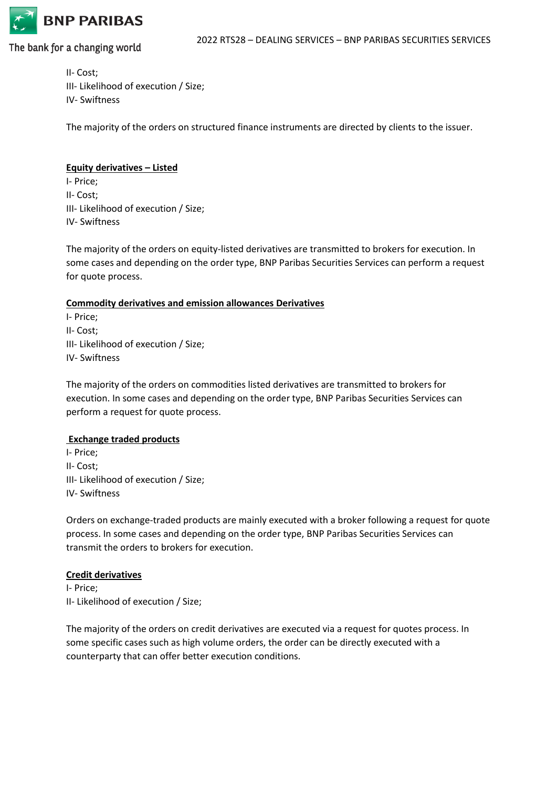

II- Cost; III- Likelihood of execution / Size; IV- Swiftness

The majority of the orders on structured finance instruments are directed by clients to the issuer.

## **Equity derivatives – Listed**

I- Price; II- Cost; III- Likelihood of execution / Size; IV- Swiftness

The majority of the orders on equity-listed derivatives are transmitted to brokers for execution. In some cases and depending on the order type, BNP Paribas Securities Services can perform a request for quote process.

## **Commodity derivatives and emission allowances Derivatives**

I- Price; II- Cost; III- Likelihood of execution / Size; IV- Swiftness

The majority of the orders on commodities listed derivatives are transmitted to brokers for execution. In some cases and depending on the order type, BNP Paribas Securities Services can perform a request for quote process.

## **Exchange traded products**

I- Price; II- Cost; III- Likelihood of execution / Size; IV- Swiftness

Orders on exchange-traded products are mainly executed with a broker following a request for quote process. In some cases and depending on the order type, BNP Paribas Securities Services can transmit the orders to brokers for execution.

## **Credit derivatives**

I- Price; II- Likelihood of execution / Size;

The majority of the orders on credit derivatives are executed via a request for quotes process. In some specific cases such as high volume orders, the order can be directly executed with a counterparty that can offer better execution conditions.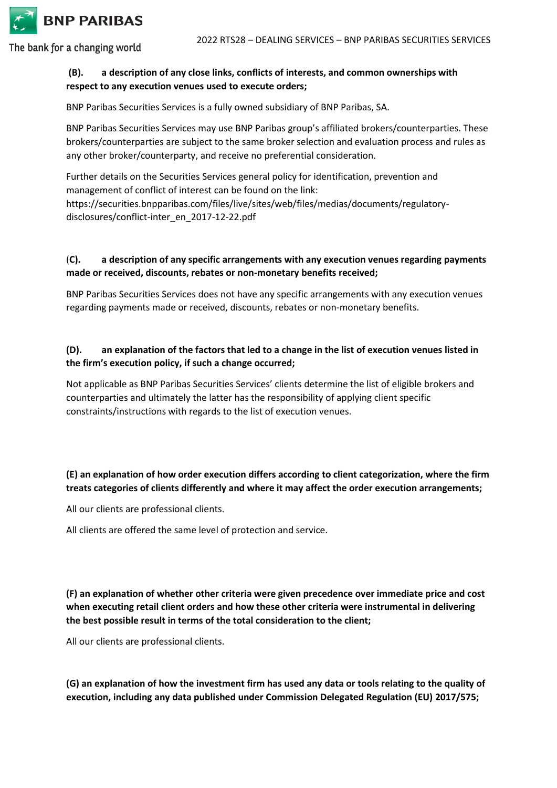

# **(B). a description of any close links, conflicts of interests, and common ownerships with respect to any execution venues used to execute orders;**

BNP Paribas Securities Services is a fully owned subsidiary of BNP Paribas, SA.

BNP Paribas Securities Services may use BNP Paribas group's affiliated brokers/counterparties. These brokers/counterparties are subject to the same broker selection and evaluation process and rules as any other broker/counterparty, and receive no preferential consideration.

Further details on the Securities Services general policy for identification, prevention and management of conflict of interest can be found on the link: https://securities.bnpparibas.com/files/live/sites/web/files/medias/documents/regulatorydisclosures/conflict-inter\_en\_2017-12-22.pdf

# (**C). a description of any specific arrangements with any execution venues regarding payments made or received, discounts, rebates or non-monetary benefits received;**

BNP Paribas Securities Services does not have any specific arrangements with any execution venues regarding payments made or received, discounts, rebates or non-monetary benefits.

# **(D). an explanation of the factors that led to a change in the list of execution venues listed in the firm's execution policy, if such a change occurred;**

Not applicable as BNP Paribas Securities Services' clients determine the list of eligible brokers and counterparties and ultimately the latter has the responsibility of applying client specific constraints/instructions with regards to the list of execution venues.

# **(E) an explanation of how order execution differs according to client categorization, where the firm treats categories of clients differently and where it may affect the order execution arrangements;**

All our clients are professional clients.

All clients are offered the same level of protection and service.

**(F) an explanation of whether other criteria were given precedence over immediate price and cost when executing retail client orders and how these other criteria were instrumental in delivering the best possible result in terms of the total consideration to the client;**

All our clients are professional clients.

**(G) an explanation of how the investment firm has used any data or tools relating to the quality of execution, including any data published under Commission Delegated Regulation (EU) 2017/575;**